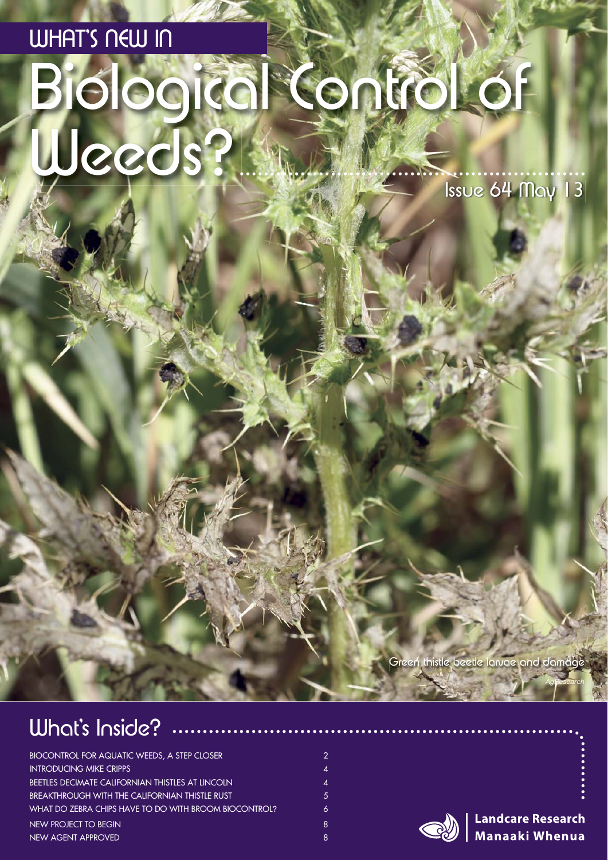# Biological Control of WHAT'S NEW IN Weeds? Issue 64 May 13

Green thistle beetle larvae and damage

### What's Inside?

| <b>BIOCONTROL FOR AQUATIC WEEDS, A STEP CLOSER</b>      | $\mathcal{P}$        |
|---------------------------------------------------------|----------------------|
| <b>INTRODUCING MIKE CRIPPS</b>                          | 4                    |
| <b>BEETLES DECIMATE CALIFORNIAN THISTLES AT LINCOLN</b> | $\mathbf{\Lambda}$ . |
| BREAKTHROUGH WITH THE CALIFORNIAN THISTLE RUST          | 5.                   |
| WHAT DO ZEBRA CHIPS HAVE TO DO WITH BROOM BIOCONTROL?   | 6                    |
| NEW PROJECT TO BEGIN                                    | 8                    |
| NEW AGENT APPROVED                                      | 8                    |



**Landcare Research** Manaaki Whenua

*AgResearch*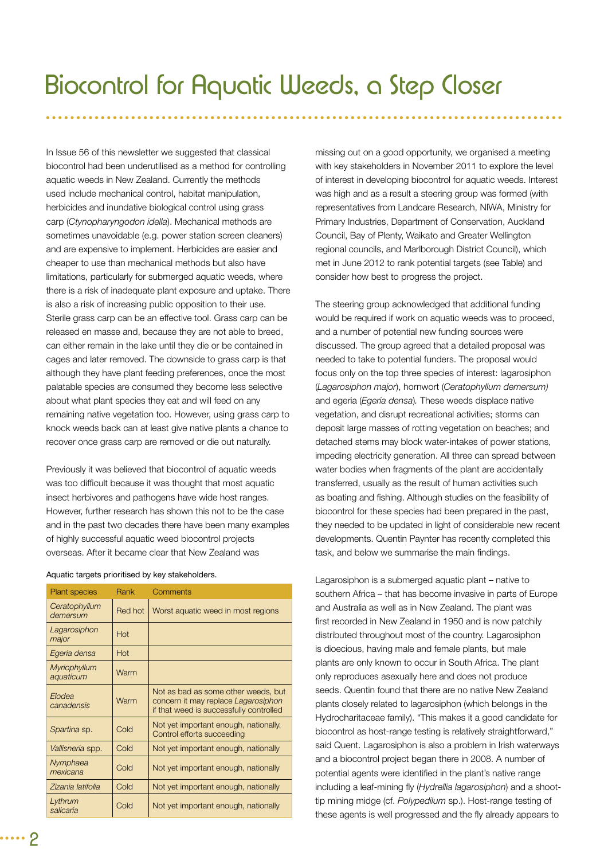In Issue 56 of this newsletter we suggested that classical biocontrol had been underutilised as a method for controlling aquatic weeds in New Zealand. Currently the methods used include mechanical control, habitat manipulation, herbicides and inundative biological control using grass carp (*Ctynopharyngodon idella*). Mechanical methods are sometimes unavoidable (e.g. power station screen cleaners) and are expensive to implement. Herbicides are easier and cheaper to use than mechanical methods but also have limitations, particularly for submerged aquatic weeds, where there is a risk of inadequate plant exposure and uptake. There is also a risk of increasing public opposition to their use. Sterile grass carp can be an effective tool. Grass carp can be released en masse and, because they are not able to breed, can either remain in the lake until they die or be contained in cages and later removed. The downside to grass carp is that although they have plant feeding preferences, once the most palatable species are consumed they become less selective about what plant species they eat and will feed on any remaining native vegetation too. However, using grass carp to knock weeds back can at least give native plants a chance to recover once grass carp are removed or die out naturally.

Previously it was believed that biocontrol of aquatic weeds was too difficult because it was thought that most aquatic insect herbivores and pathogens have wide host ranges. However, further research has shown this not to be the case and in the past two decades there have been many examples of highly successful aquatic weed biocontrol projects overseas. After it became clear that New Zealand was

| Aquatic targets prioritised by key stakeholders. |  |  |  |
|--------------------------------------------------|--|--|--|
|--------------------------------------------------|--|--|--|

| <b>Plant species</b>             | Rank    | Comments                                                                                                              |
|----------------------------------|---------|-----------------------------------------------------------------------------------------------------------------------|
| Ceratophyllum<br>demersum        | Red hot | Worst aquatic weed in most regions                                                                                    |
| Lagarosiphon<br>major            | Hot     |                                                                                                                       |
| Egeria densa                     | Hot     |                                                                                                                       |
| <b>Myriophyllum</b><br>aquaticum | Warm    |                                                                                                                       |
| Elodea<br>canadensis             | Warm    | Not as bad as some other weeds, but<br>concern it may replace Lagarosiphon<br>if that weed is successfully controlled |
| Spartina sp.                     | Cold    | Not yet important enough, nationally.<br>Control efforts succeeding                                                   |
| Vallisneria spp.                 | Cold    | Not yet important enough, nationally                                                                                  |
| Nymphaea<br>mexicana             | Cold    | Not yet important enough, nationally                                                                                  |
| Zizania latifolia                | Cold    | Not yet important enough, nationally                                                                                  |
| Lythrum<br>salicaria             | Cold    | Not yet important enough, nationally                                                                                  |

missing out on a good opportunity, we organised a meeting with key stakeholders in November 2011 to explore the level of interest in developing biocontrol for aquatic weeds. Interest was high and as a result a steering group was formed (with representatives from Landcare Research, NIWA, Ministry for Primary Industries, Department of Conservation, Auckland Council, Bay of Plenty, Waikato and Greater Wellington regional councils, and Marlborough District Council), which met in June 2012 to rank potential targets (see Table) and consider how best to progress the project.

The steering group acknowledged that additional funding would be required if work on aquatic weeds was to proceed, and a number of potential new funding sources were discussed. The group agreed that a detailed proposal was needed to take to potential funders. The proposal would focus only on the top three species of interest: lagarosiphon (*Lagarosiphon major*), hornwort (*Ceratophyllum demersum)*  and egeria (*Egeria densa*)*.* These weeds displace native vegetation, and disrupt recreational activities; storms can deposit large masses of rotting vegetation on beaches; and detached stems may block water-intakes of power stations, impeding electricity generation. All three can spread between water bodies when fragments of the plant are accidentally transferred, usually as the result of human activities such as boating and fishing. Although studies on the feasibility of biocontrol for these species had been prepared in the past, they needed to be updated in light of considerable new recent developments. Quentin Paynter has recently completed this task, and below we summarise the main findings.

Lagarosiphon is a submerged aquatic plant – native to southern Africa – that has become invasive in parts of Europe and Australia as well as in New Zealand. The plant was first recorded in New Zealand in 1950 and is now patchily distributed throughout most of the country. Lagarosiphon is dioecious, having male and female plants, but male plants are only known to occur in South Africa. The plant only reproduces asexually here and does not produce seeds. Quentin found that there are no native New Zealand plants closely related to lagarosiphon (which belongs in the Hydrocharitaceae family). "This makes it a good candidate for biocontrol as host-range testing is relatively straightforward," said Quent. Lagarosiphon is also a problem in Irish waterways and a biocontrol project began there in 2008. A number of potential agents were identified in the plant's native range including a leaf-mining fly (Hydrellia lagarosiphon) and a shoottip mining midge (cf. *Polypedilum* sp.). Host-range testing of these agents is well progressed and the fly already appears to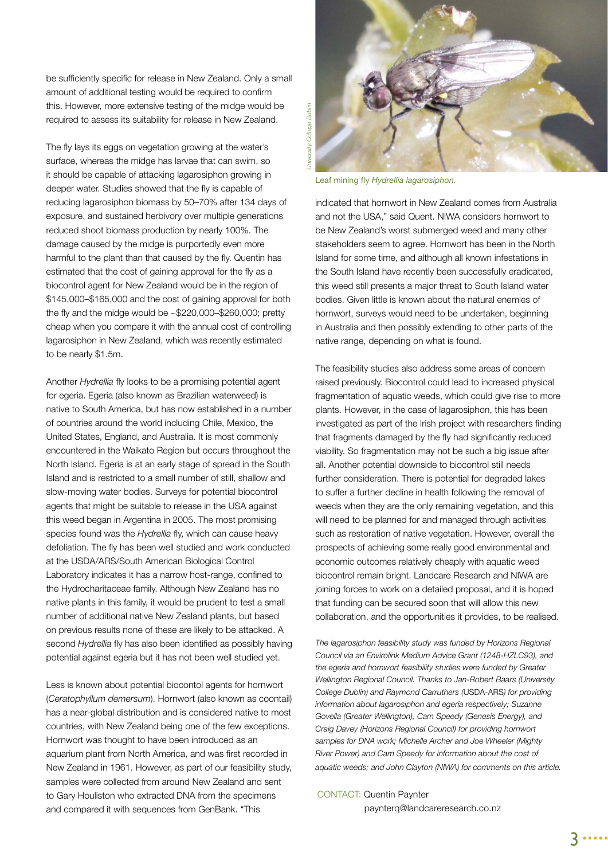be sufficiently specific for release in New Zealand. Only a small amount of additional testing would be required to confirm this. However, more extensive testing of the midge would be required to assess its suitability for release in New Zealand.

The fly lays its eggs on vegetation growing at the water's surface, whereas the midge has larvae that can swim, so it should be capable of attacking lagarosiphon growing in deeper water. Studies showed that the fly is capable of reducing lagarosiphon biomass by 50–70% after 134 days of exposure, and sustained herbivory over multiple generations reduced shoot biomass production by nearly 100%. The damage caused by the midge is purportedly even more harmful to the plant than that caused by the fly. Quentin has estimated that the cost of gaining approval for the fly as a biocontrol agent for New Zealand would be in the region of \$145,000–\$165,000 and the cost of gaining approval for both the fly and the midge would be  $\approx$ \$220,000–\$260,000; pretty cheap when you compare it with the annual cost of controlling lagarosiphon in New Zealand, which was recently estimated to be nearly \$1.5m.

Another *Hydrellia* fly looks to be a promising potential agent for egeria. Egeria (also known as Brazilian waterweed) is native to South America, but has now established in a number of countries around the world including Chile, Mexico, the United States, England, and Australia. It is most commonly encountered in the Waikato Region but occurs throughout the North Island. Egeria is at an early stage of spread in the South Island and is restricted to a small number of still, shallow and slow-moving water bodies. Surveys for potential biocontrol agents that might be suitable to release in the USA against this weed began in Argentina in 2005. The most promising species found was the *Hydrellia* fly, which can cause heavy defoliation. The fly has been well studied and work conducted at the USDA/ARS/South American Biological Control Laboratory indicates it has a narrow host-range, confined to the Hydrocharitaceae family. Although New Zealand has no native plants in this family, it would be prudent to test a small number of additional native New Zealand plants, but based on previous results none of these are likely to be attacked. A second *Hydrellia* fly has also been identified as possibly having potential against egeria but it has not been well studied yet.

Less is known about potential biocontol agents for hornwort (*Ceratophyllum demersum*). Hornwort (also known as coontail) has a near-global distribution and is considered native to most countries, with New Zealand being one of the few exceptions. Hornwort was thought to have been introduced as an aquarium plant from North America, and was first recorded in New Zealand in 1961. However, as part of our feasibility study, samples were collected from around New Zealand and sent to Gary Houliston who extracted DNA from the specimens and compared it with sequences from GenBank. "This



Leaf mining fly *Hydrellia lagarosiphon.* 

indicated that hornwort in New Zealand comes from Australia and not the USA," said Quent. NIWA considers hornwort to be New Zealand's worst submerged weed and many other stakeholders seem to agree. Hornwort has been in the North Island for some time, and although all known infestations in the South Island have recently been successfully eradicated, this weed still presents a major threat to South Island water bodies. Given little is known about the natural enemies of hornwort, surveys would need to be undertaken, beginning in Australia and then possibly extending to other parts of the native range, depending on what is found.

The feasibility studies also address some areas of concern raised previously. Biocontrol could lead to increased physical fragmentation of aquatic weeds, which could give rise to more plants. However, in the case of lagarosiphon, this has been investigated as part of the Irish project with researchers finding that fragments damaged by the fly had significantly reduced viability. So fragmentation may not be such a big issue after all. Another potential downside to biocontrol still needs further consideration. There is potential for degraded lakes to suffer a further decline in health following the removal of weeds when they are the only remaining vegetation, and this will need to be planned for and managed through activities such as restoration of native vegetation. However, overall the prospects of achieving some really good environmental and economic outcomes relatively cheaply with aquatic weed biocontrol remain bright. Landcare Research and NIWA are joining forces to work on a detailed proposal, and it is hoped that funding can be secured soon that will allow this new collaboration, and the opportunities it provides, to be realised.

*The lagarosiphon feasibility study was funded by Horizons Regional Council via an Envirolink Medium Advice Grant (1248-HZLC93), and the egeria and hornwort feasibility studies were funded by Greater Wellington Regional Council. Thanks to Jan-Robert Baars (University College Dublin) and Raymond Carruthers (*USDA-ARS*) for providing information about lagarosiphon and egeria respectively; Suzanne Govella (Greater Wellington), Cam Speedy (Genesis Energy), and Craig Davey (Horizons Regional Council) for providing hornwort samples for DNA work; Michelle Archer and Joe Wheeler (Mighty River Power) and Cam Speedy for information about the cost of aquatic weeds; and John Clayton (NIWA) for comments on this article.*

#### CONTACT: Quentin Paynter

paynterq@landcareresearch.co.nz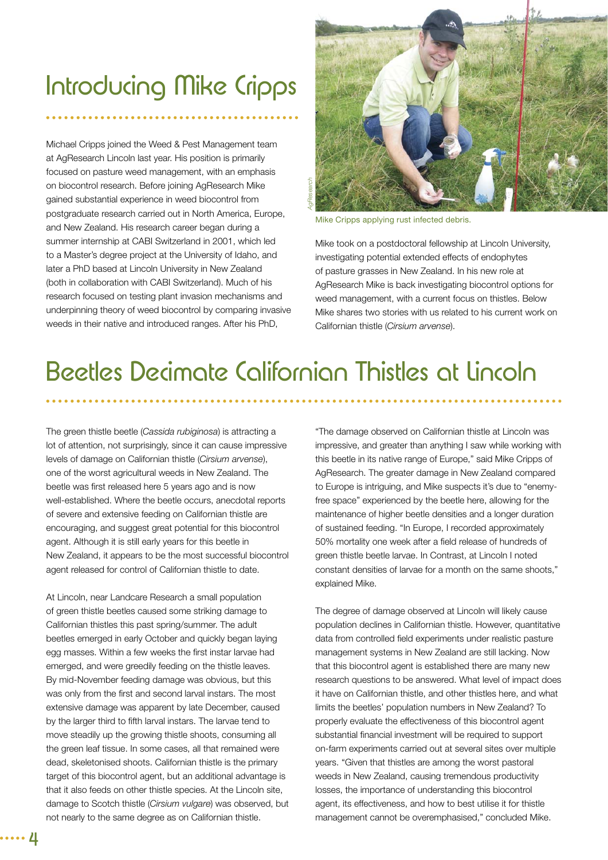# Introducing Mike Cripps

Michael Cripps joined the Weed & Pest Management team at AgResearch Lincoln last year. His position is primarily focused on pasture weed management, with an emphasis on biocontrol research. Before joining AgResearch Mike gained substantial experience in weed biocontrol from postgraduate research carried out in North America, Europe, and New Zealand. His research career began during a summer internship at CABI Switzerland in 2001, which led to a Master's degree project at the University of Idaho, and later a PhD based at Lincoln University in New Zealand (both in collaboration with CABI Switzerland). Much of his research focused on testing plant invasion mechanisms and underpinning theory of weed biocontrol by comparing invasive weeds in their native and introduced ranges. After his PhD,



Mike Cripps applying rust infected debris.

Mike took on a postdoctoral fellowship at Lincoln University, investigating potential extended effects of endophytes of pasture grasses in New Zealand. In his new role at AgResearch Mike is back investigating biocontrol options for weed management, with a current focus on thistles. Below Mike shares two stories with us related to his current work on Californian thistle (*Cirsium arvense*).

# Beetles Decimate Californian Thistles at Lincoln

The green thistle beetle (*Cassida rubiginosa*) is attracting a lot of attention, not surprisingly, since it can cause impressive levels of damage on Californian thistle (*Cirsium arvense*), one of the worst agricultural weeds in New Zealand. The beetle was first released here 5 years ago and is now well-established. Where the beetle occurs, anecdotal reports of severe and extensive feeding on Californian thistle are encouraging, and suggest great potential for this biocontrol agent. Although it is still early years for this beetle in New Zealand, it appears to be the most successful biocontrol agent released for control of Californian thistle to date.

At Lincoln, near Landcare Research a small population of green thistle beetles caused some striking damage to Californian thistles this past spring/summer. The adult beetles emerged in early October and quickly began laying egg masses. Within a few weeks the first instar larvae had emerged, and were greedily feeding on the thistle leaves. By mid-November feeding damage was obvious, but this was only from the first and second larval instars. The most extensive damage was apparent by late December, caused by the larger third to fifth larval instars. The larvae tend to move steadily up the growing thistle shoots, consuming all the green leaf tissue. In some cases, all that remained were dead, skeletonised shoots. Californian thistle is the primary target of this biocontrol agent, but an additional advantage is that it also feeds on other thistle species. At the Lincoln site, damage to Scotch thistle (*Cirsium vulgare*) was observed, but not nearly to the same degree as on Californian thistle.

"The damage observed on Californian thistle at Lincoln was impressive, and greater than anything I saw while working with this beetle in its native range of Europe," said Mike Cripps of AgResearch. The greater damage in New Zealand compared to Europe is intriguing, and Mike suspects it's due to "enemyfree space" experienced by the beetle here, allowing for the maintenance of higher beetle densities and a longer duration of sustained feeding. "In Europe, I recorded approximately 50% mortality one week after a field release of hundreds of green thistle beetle larvae. In Contrast, at Lincoln I noted constant densities of larvae for a month on the same shoots," explained Mike.

The degree of damage observed at Lincoln will likely cause population declines in Californian thistle. However, quantitative data from controlled field experiments under realistic pasture management systems in New Zealand are still lacking. Now that this biocontrol agent is established there are many new research questions to be answered. What level of impact does it have on Californian thistle, and other thistles here, and what limits the beetles' population numbers in New Zealand? To properly evaluate the effectiveness of this biocontrol agent substantial financial investment will be required to support on-farm experiments carried out at several sites over multiple years. "Given that thistles are among the worst pastoral weeds in New Zealand, causing tremendous productivity losses, the importance of understanding this biocontrol agent, its effectiveness, and how to best utilise it for thistle management cannot be overemphasised," concluded Mike.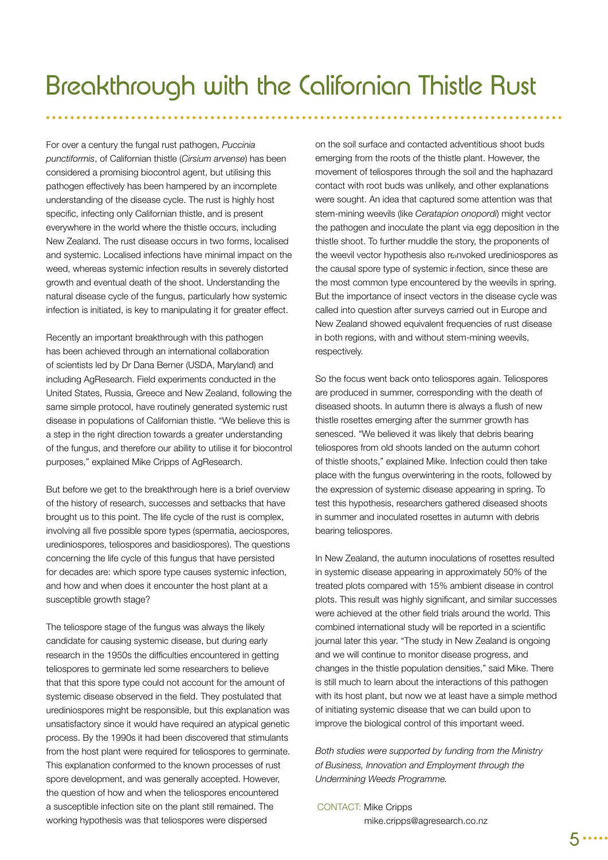For over a century the fungal rust pathogen, *Puccinia punctiformis*, of Californian thistle (*Cirsium arvense*) has been considered a promising biocontrol agent, but utilising this pathogen effectively has been hampered by an incomplete understanding of the disease cycle. The rust is highly host specific, infecting only Californian thistle, and is present everywhere in the world where the thistle occurs, including New Zealand. The rust disease occurs in two forms, localised and systemic. Localised infections have minimal impact on the weed, whereas systemic infection results in severely distorted growth and eventual death of the shoot. Understanding the natural disease cycle of the fungus, particularly how systemic infection is initiated, is key to manipulating it for greater effect.

Recently an important breakthrough with this pathogen has been achieved through an international collaboration of scientists led by Dr Dana Berner (USDA, Maryland) and including AgResearch. Field experiments conducted in the United States, Russia, Greece and New Zealand, following the same simple protocol, have routinely generated systemic rust disease in populations of Californian thistle. "We believe this is a step in the right direction towards a greater understanding of the fungus, and therefore our ability to utilise it for biocontrol purposes," explained Mike Cripps of AgResearch.

But before we get to the breakthrough here is a brief overview of the history of research, successes and setbacks that have brought us to this point. The life cycle of the rust is complex, involving all five possible spore types (spermatia, aeciospores, urediniospores, teliospores and basidiospores). The questions concerning the life cycle of this fungus that have persisted for decades are: which spore type causes systemic infection, and how and when does it encounter the host plant at a susceptible growth stage?

The teliospore stage of the fungus was always the likely candidate for causing systemic disease, but during early research in the 1950s the difficulties encountered in getting teliospores to germinate led some researchers to believe that that this spore type could not account for the amount of systemic disease observed in the field. They postulated that urediniospores might be responsible, but this explanation was unsatisfactory since it would have required an atypical genetic process. By the 1990s it had been discovered that stimulants from the host plant were required for teliospores to germinate. This explanation conformed to the known processes of rust spore development, and was generally accepted. However, the question of how and when the teliospores encountered a susceptible infection site on the plant still remained. The working hypothesis was that teliospores were dispersed

on the soil surface and contacted adventitious shoot buds emerging from the roots of the thistle plant. However, the movement of teliospores through the soil and the haphazard contact with root buds was unlikely, and other explanations were sought. An idea that captured some attention was that stem-mining weevils (like *Ceratapion onopordi*) might vector the pathogen and inoculate the plant via egg deposition in the thistle shoot. To further muddle the story, the proponents of the weevil vector hypothesis also reinvoked urediniospores as the causal spore type of systemic infection, since these are the most common type encountered by the weevils in spring. But the importance of insect vectors in the disease cycle was called into question after surveys carried out in Europe and New Zealand showed equivalent frequencies of rust disease in both regions, with and without stem-mining weevils, respectively.

So the focus went back onto teliospores again. Teliospores are produced in summer, corresponding with the death of diseased shoots. In autumn there is always a flush of new thistle rosettes emerging after the summer growth has senesced. "We believed it was likely that debris bearing teliospores from old shoots landed on the autumn cohort of thistle shoots," explained Mike. Infection could then take place with the fungus overwintering in the roots, followed by the expression of systemic disease appearing in spring. To test this hypothesis, researchers gathered diseased shoots in summer and inoculated rosettes in autumn with debris bearing teliospores.

In New Zealand, the autumn inoculations of rosettes resulted in systemic disease appearing in approximately 50% of the treated plots compared with 15% ambient disease in control plots. This result was highly significant, and similar successes were achieved at the other field trials around the world. This combined international study will be reported in a scientific journal later this year. "The study in New Zealand is ongoing and we will continue to monitor disease progress, and changes in the thistle population densities," said Mike. There is still much to learn about the interactions of this pathogen with its host plant, but now we at least have a simple method of initiating systemic disease that we can build upon to improve the biological control of this important weed.

*Both studies were supported by funding from the Ministry of Business, Innovation and Employment through the Undermining Weeds Programme.*

#### CONTACT: Mike Cripps mike.cripps@agresearch.co.nz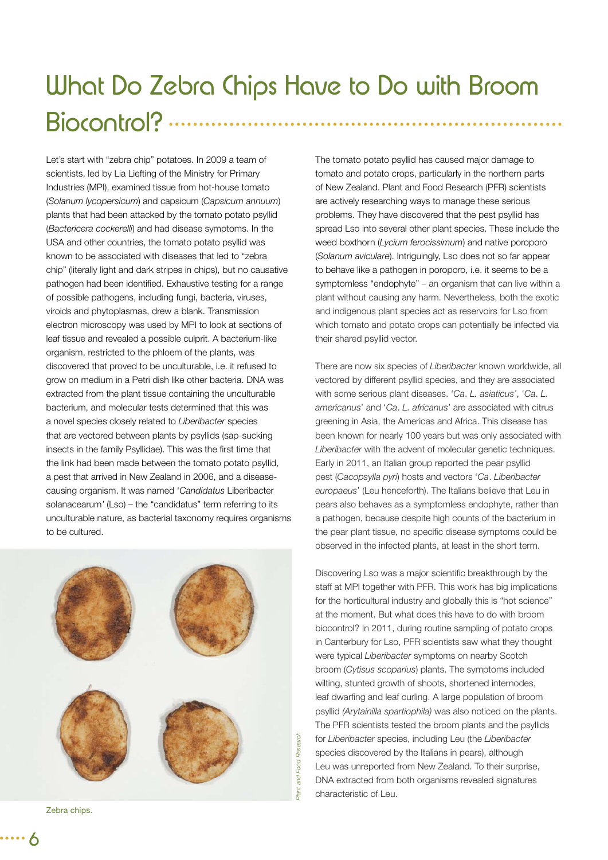# What Do Zebra Chips Have to Do with Broom Biocontrol? ......

Let's start with "zebra chip" potatoes. In 2009 a team of scientists, led by Lia Liefting of the Ministry for Primary Industries (MPI), examined tissue from hot-house tomato (*Solanum lycopersicum*) and capsicum (*Capsicum annuum*) plants that had been attacked by the tomato potato psyllid (*Bactericera cockerelli*) and had disease symptoms. In the USA and other countries, the tomato potato psyllid was known to be associated with diseases that led to "zebra chip" (literally light and dark stripes in chips), but no causative pathogen had been identified. Exhaustive testing for a range of possible pathogens, including fungi, bacteria, viruses, viroids and phytoplasmas, drew a blank. Transmission electron microscopy was used by MPI to look at sections of leaf tissue and revealed a possible culprit. A bacterium-like organism, restricted to the phloem of the plants, was discovered that proved to be unculturable, i.e. it refused to grow on medium in a Petri dish like other bacteria. DNA was extracted from the plant tissue containing the unculturable bacterium, and molecular tests determined that this was a novel species closely related to *Liberibacter* species that are vectored between plants by psyllids (sap-sucking insects in the family Psyllidae). This was the first time that the link had been made between the tomato potato psyllid, a pest that arrived in New Zealand in 2006, and a diseasecausing organism. It was named '*Candidatus* Liberibacter solanacearum*'* (Lso) – the "candidatus" term referring to its unculturable nature, as bacterial taxonomy requires organisms to be cultured.



Zebra chips.

The tomato potato psyllid has caused major damage to tomato and potato crops, particularly in the northern parts of New Zealand. Plant and Food Research (PFR) scientists are actively researching ways to manage these serious problems. They have discovered that the pest psyllid has spread Lso into several other plant species. These include the weed boxthorn (*Lycium ferocissimum*) and native poroporo (*Solanum aviculare*). Intriguingly, Lso does not so far appear to behave like a pathogen in poroporo, i.e. it seems to be a symptomless "endophyte" – an organism that can live within a plant without causing any harm. Nevertheless, both the exotic and indigenous plant species act as reservoirs for Lso from which tomato and potato crops can potentially be infected via their shared psyllid vector.

There are now six species of *Liberibacter* known worldwide, all vectored by different psyllid species, and they are associated with some serious plant diseases. '*Ca*. *L. asiaticus'*, '*Ca*. *L. americanus*' and '*Ca*. *L. africanus*' are associated with citrus greening in Asia, the Americas and Africa. This disease has been known for nearly 100 years but was only associated with *Liberibacter* with the advent of molecular genetic techniques. Early in 2011, an Italian group reported the pear psyllid pest (*Cacopsylla pyri*) hosts and vectors '*Ca*. *Liberibacter europaeus*' (Leu henceforth). The Italians believe that Leu in pears also behaves as a symptomless endophyte, rather than a pathogen, because despite high counts of the bacterium in the pear plant tissue, no specific disease symptoms could be observed in the infected plants, at least in the short term.

Discovering Lso was a major scientific breakthrough by the staff at MPI together with PFR. This work has big implications for the horticultural industry and globally this is "hot science" at the moment. But what does this have to do with broom biocontrol? In 2011, during routine sampling of potato crops in Canterbury for Lso, PFR scientists saw what they thought were typical *Liberibacter* symptoms on nearby Scotch broom (*Cytisus scoparius*) plants. The symptoms included wilting, stunted growth of shoots, shortened internodes, leaf dwarfing and leaf curling. A large population of broom psyllid *(Arytainilla spartiophila)* was also noticed on the plants. The PFR scientists tested the broom plants and the psyllids for *Liberibacter* species, including Leu (the *Liberibacter*  species discovered by the Italians in pears), although Leu was unreported from New Zealand. To their surprise, DNA extracted from both organisms revealed signatures characteristic of Leu.

6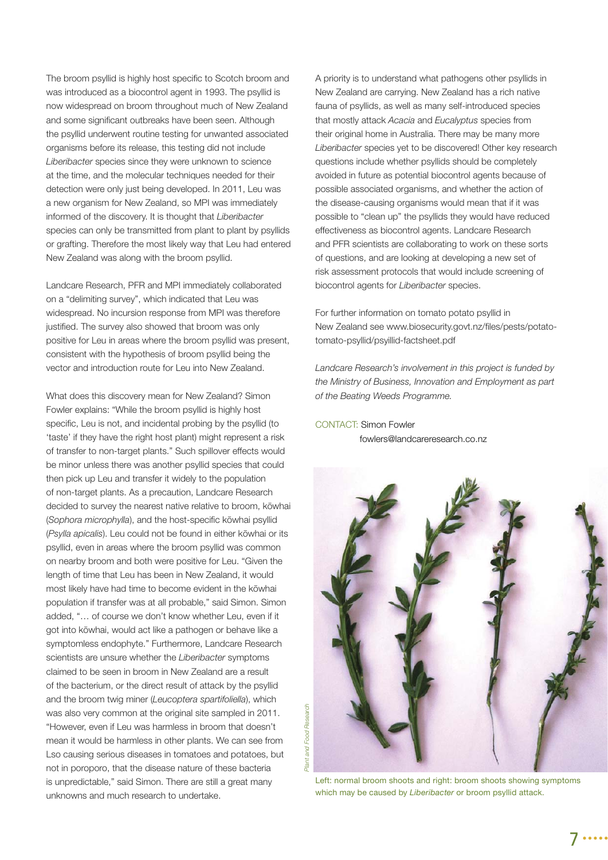The broom psyllid is highly host specific to Scotch broom and was introduced as a biocontrol agent in 1993. The psyllid is now widespread on broom throughout much of New Zealand and some significant outbreaks have been seen. Although the psyllid underwent routine testing for unwanted associated organisms before its release, this testing did not include *Liberibacter* species since they were unknown to science at the time, and the molecular techniques needed for their detection were only just being developed. In 2011, Leu was a new organism for New Zealand, so MPI was immediately informed of the discovery. It is thought that *Liberibacter*  species can only be transmitted from plant to plant by psyllids or grafting. Therefore the most likely way that Leu had entered New Zealand was along with the broom psyllid.

Landcare Research, PFR and MPI immediately collaborated on a "delimiting survey", which indicated that Leu was widespread. No incursion response from MPI was therefore justified. The survey also showed that broom was only positive for Leu in areas where the broom psyllid was present, consistent with the hypothesis of broom psyllid being the vector and introduction route for Leu into New Zealand.

What does this discovery mean for New Zealand? Simon Fowler explains: "While the broom psyllid is highly host specific, Leu is not, and incidental probing by the psyllid (to 'taste' if they have the right host plant) might represent a risk of transfer to non-target plants." Such spillover effects would be minor unless there was another psyllid species that could then pick up Leu and transfer it widely to the population of non-target plants. As a precaution, Landcare Research decided to survey the nearest native relative to broom, kōwhai (Sophora microphylla), and the host-specific kōwhai psyllid (*Psylla apicalis*). Leu could not be found in either kōwhai or its psyllid, even in areas where the broom psyllid was common on nearby broom and both were positive for Leu. "Given the length of time that Leu has been in New Zealand, it would most likely have had time to become evident in the kōwhai population if transfer was at all probable," said Simon. Simon added, "… of course we don't know whether Leu, even if it got into kōwhai, would act like a pathogen or behave like a symptomless endophyte." Furthermore, Landcare Research scientists are unsure whether the *Liberibacter* symptoms claimed to be seen in broom in New Zealand are a result of the bacterium, or the direct result of attack by the psyllid and the broom twig miner (*Leucoptera spartifoliella*), which was also very common at the original site sampled in 2011. "However, even if Leu was harmless in broom that doesn't mean it would be harmless in other plants. We can see from Lso causing serious diseases in tomatoes and potatoes, but not in poroporo, that the disease nature of these bacteria is unpredictable," said Simon. There are still a great many unknowns and much research to undertake.

A priority is to understand what pathogens other psyllids in New Zealand are carrying. New Zealand has a rich native fauna of psyllids, as well as many self-introduced species that mostly attack *Acacia* and *Eucalyptus* species from their original home in Australia. There may be many more *Liberibacter* species yet to be discovered! Other key research questions include whether psyllids should be completely avoided in future as potential biocontrol agents because of possible associated organisms, and whether the action of the disease-causing organisms would mean that if it was possible to "clean up" the psyllids they would have reduced effectiveness as biocontrol agents. Landcare Research and PFR scientists are collaborating to work on these sorts of questions, and are looking at developing a new set of risk assessment protocols that would include screening of biocontrol agents for *Liberibacter* species.

For further information on tomato potato psyllid in New Zealand see www.biosecurity.govt.nz/files/pests/potatotomato-psyllid/psyillid-factsheet.pdf

*Landcare Research's involvement in this project is funded by the Ministry of Business, Innovation and Employment as part of the Beating Weeds Programme.*

CONTACT: Simon Fowler fowlers@landcareresearch.co.nz



Left: normal broom shoots and right: broom shoots showing symptoms which may be caused by *Liberibacter* or broom psyllid attack.